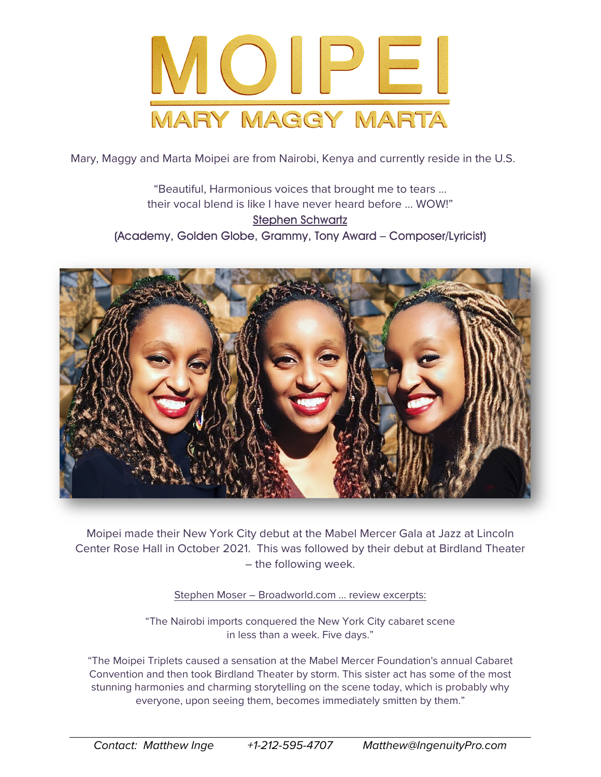

Mary, Maggy and Marta Moipei are from Nairobi, Kenya and currently reside in the U.S.

"Beautiful, Harmonious voices that brought me to tears … their vocal blend is like I have never heard before … WOW!" Stephen Schwartz (Academy, Golden Globe, Grammy, Tony Award – Composer/Lyricist)



Moipei made their New York City debut at the Mabel Mercer Gala at Jazz at Lincoln Center Rose Hall in October 2021. This was followed by their debut at Birdland Theater – the following week.

Stephen Moser – Broadworld.com … review excerpts:

"The Nairobi imports conquered the New York City cabaret scene in less than a week. Five days."

"The Moipei Triplets caused a sensation at the [Mabel Mercer](https://www.broadwayworld.com/people/Mabel-Mercer/) Foundation's annual Cabaret Convention and then took Birdland Theater by storm. This sister act has some of the most stunning harmonies and charming storytelling on the scene today, which is probably why everyone, upon seeing them, becomes immediately smitten by them."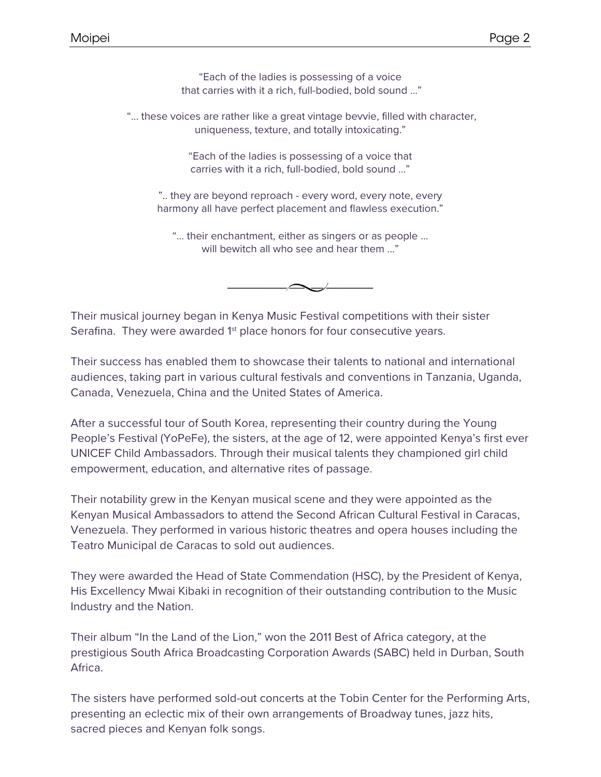"Each of the ladies is possessing of a voice that carries with it a rich, full-bodied, bold sound ..."

"... these voices are rather like a great vintage bevvie, filled with character, uniqueness, texture, and totally intoxicating."

> "Each of the ladies is possessing of a voice that carries with it a rich, full-bodied, bold sound ..."

".. they are beyond reproach - every word, every note, every harmony all have perfect placement and flawless execution."

"... their enchantment, either as singers or as people ... will bewitch all who see and hear them ...'

Their musical journey began in Kenya Music Festival competitions with their sister Serafina. They were awarded 1<sup>st</sup> place honors for four consecutive years.

Their success has enabled them to showcase their talents to national and international audiences, taking part in various cultural festivals and conventions in Tanzania, Uganda, Canada, Venezuela, China and the United States of America.

After a successful tour of South Korea, representing their country during the Young People's Festival (YoPeFe), the sisters, at the age of 12, were appointed Kenya's first ever UNICEF Child Ambassadors. Through their musical talents they championed girl child empowerment, education, and alternative rites of passage.

Their notability grew in the Kenyan musical scene and they were appointed as the Kenyan Musical Ambassadors to attend the Second African Cultural Festival in Caracas, Venezuela. They performed in various historic theatres and opera houses including the Teatro Municipal de Caracas to sold out audiences.

They were awarded the Head of State Commendation (HSC), by the President of Kenya, His Excellency Mwai Kibaki in recognition of their outstanding contribution to the Music Industry and the Nation.

Their album "In the Land of the Lion," won the 2011 Best of Africa category, at the prestigious South Africa Broadcasting Corporation Awards (SABC) held in Durban, South Africa.

The sisters have performed sold-out concerts at the Tobin Center for the Performing Arts, presenting an eclectic mix of their own arrangements of Broadway tunes, jazz hits, sacred pieces and Kenyan folk songs.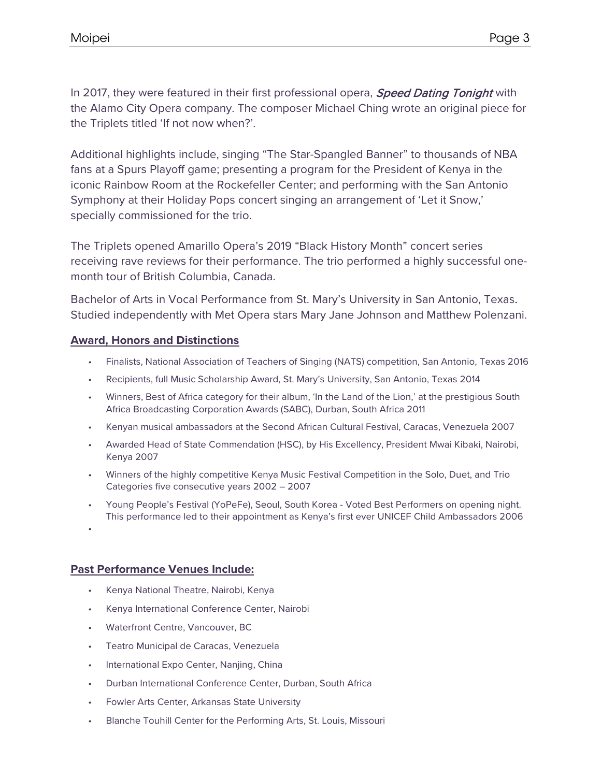In 2017, they were featured in their first professional opera, **Speed Dating Tonight** with the Alamo City Opera company. The composer Michael Ching wrote an original piece for the Triplets titled 'If not now when?'.

Additional highlights include, singing "The Star-Spangled Banner" to thousands of NBA fans at a Spurs Playoff game; presenting a program for the President of Kenya in the iconic Rainbow Room at the Rockefeller Center; and performing with the San Antonio Symphony at their Holiday Pops concert singing an arrangement of 'Let it Snow,' specially commissioned for the trio.

The Triplets opened Amarillo Opera's 2019 "Black History Month" concert series receiving rave reviews for their performance. The trio performed a highly successful onemonth tour of British Columbia, Canada.

Bachelor of Arts in Vocal Performance from St. Mary's University in San Antonio, Texas. Studied independently with Met Opera stars Mary Jane Johnson and Matthew Polenzani.

## **Award, Honors and Distinctions**

- Finalists, National Association of Teachers of Singing (NATS) competition, San Antonio, Texas 2016
- Recipients, full Music Scholarship Award, St. Mary's University, San Antonio, Texas 2014
- Winners, Best of Africa category for their album, 'In the Land of the Lion,' at the prestigious South Africa Broadcasting Corporation Awards (SABC), Durban, South Africa 2011
- Kenyan musical ambassadors at the Second African Cultural Festival, Caracas, Venezuela 2007
- Awarded Head of State Commendation (HSC), by His Excellency, President Mwai Kibaki, Nairobi, Kenya 2007
- Winners of the highly competitive Kenya Music Festival Competition in the Solo, Duet, and Trio Categories five consecutive years 2002 – 2007
- Young People's Festival (YoPeFe), Seoul, South Korea Voted Best Performers on opening night. This performance led to their appointment as Kenya's first ever UNICEF Child Ambassadors 2006
- •

## **Past Performance Venues Include:**

- Kenya National Theatre, Nairobi, Kenya
- Kenya International Conference Center, Nairobi
- Waterfront Centre, Vancouver, BC
- Teatro Municipal de Caracas, Venezuela
- International Expo Center, Nanjing, China
- Durban International Conference Center, Durban, South Africa
- Fowler Arts Center, Arkansas State University
- Blanche Touhill Center for the Performing Arts, St. Louis, Missouri